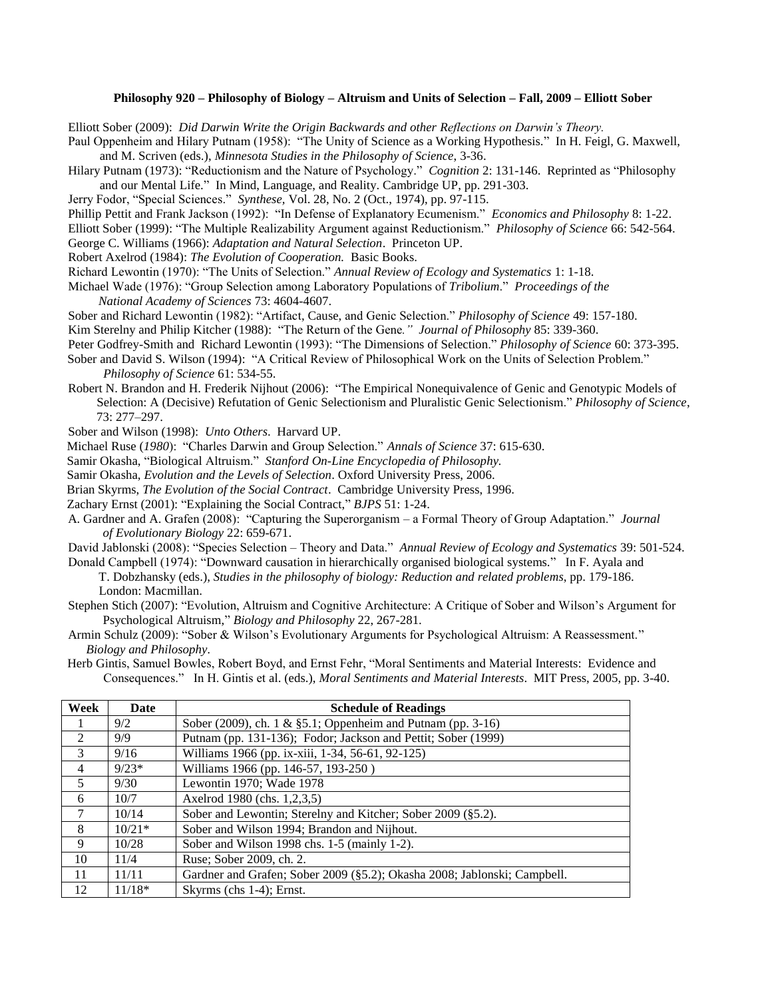## **Philosophy 920 – Philosophy of Biology – Altruism and Units of Selection – Fall, 2009 – Elliott Sober**

Elliott Sober (2009): *Did Darwin Write the Origin Backwards and other Reflections on Darwin's Theory.*

Paul Oppenheim and Hilary Putnam (1958): "The Unity of Science as a Working Hypothesis." In H. Feigl, G. Maxwell, and M. Scriven (eds.), *Minnesota Studies in the Philosophy of Science*, 3-36.

Hilary Putnam (1973): "Reductionism and the Nature of Psychology." *Cognition* 2: 131-146. Reprinted as "Philosophy and our Mental Life." In Mind, Language, and Reality. Cambridge UP, pp. 291-303.

Jerry Fodor, "Special Sciences." *Synthese,* Vol. 28, No. 2 (Oct., 1974), pp. 97-115.

Phillip Pettit and Frank Jackson (1992): "In Defense of Explanatory Ecumenism." *Economics and Philosophy* 8: 1-22.

Elliott Sober (1999): "The Multiple Realizability Argument against Reductionism." *Philosophy of Science* 66: 542-564.

George C. Williams (1966): *Adaptation and Natural Selection*. Princeton UP.

Robert Axelrod (1984): *The Evolution of Cooperation.* Basic Books.

Richard Lewontin (1970): "The Units of Selection." *Annual Review of Ecology and Systematics* 1: 1-18.

Michael Wade (1976): "Group Selection among Laboratory Populations of *Tribolium*." *Proceedings of the National Academy of Sciences* 73: 4604-4607.

Sober and Richard Lewontin (1982): "Artifact, Cause, and Genic Selection." *Philosophy of Science* 49: 157-180.

Kim Sterelny and Philip Kitcher (1988): "The Return of the Gene*." Journal of Philosophy* 85: 339-360.

Peter Godfrey-Smith and Richard Lewontin (1993): "The Dimensions of Selection." *Philosophy of Science* 60: 373-395.

- Sober and David S. Wilson (1994): "A Critical Review of Philosophical Work on the Units of Selection Problem." *Philosophy of Science* 61: 534-55.
- Robert N. Brandon and H. Frederik Nijhout (2006): "The Empirical Nonequivalence of Genic and Genotypic Models of Selection: A (Decisive) Refutation of Genic Selectionism and Pluralistic Genic Selectionism." *Philosophy of Science*, 73: 277–297.

Sober and Wilson (1998): *Unto Others*. Harvard UP.

Michael Ruse (*1980*): "Charles Darwin and Group Selection." *Annals of Science* 37: 615-630.

Samir Okasha, "Biological Altruism." *Stanford On-Line Encyclopedia of Philosophy.* 

Samir Okasha, *Evolution and the Levels of Selection*. Oxford University Press, 2006.

Brian Skyrms, *The Evolution of the Social Contract*. Cambridge University Press, 1996.

Zachary Ernst (2001): "Explaining the Social Contract," *BJPS* 51: 1-24.

A. Gardner and A. Grafen (2008): "Capturing the Superorganism – a Formal Theory of Group Adaptation." *Journal of Evolutionary Biology* 22: 659-671.

David Jablonski (2008): "Species Selection – Theory and Data." *Annual Review of Ecology and Systematics* 39: 501-524.

Donald Campbell (1974): "Downward causation in hierarchically organised biological systems." In F. Ayala and T. Dobzhansky (eds.), *Studies in the philosophy of biology: Reduction and related problems*, pp. 179-186. London: Macmillan.

Stephen Stich (2007): "Evolution, Altruism and Cognitive Architecture: A Critique of Sober and Wilson's Argument for Psychological Altruism," *Biology and Philosophy* 22, 267-281.

Armin Schulz (2009): "Sober & Wilson's Evolutionary Arguments for Psychological Altruism: A Reassessment." *Biology and Philosophy.*

 Herb Gintis, Samuel Bowles, Robert Boyd, and Ernst Fehr, "Moral Sentiments and Material Interests: Evidence and Consequences." In H. Gintis et al. (eds.), *Moral Sentiments and Material Interests*. MIT Press, 2005, pp. 3-40.

| Week           | Date     | <b>Schedule of Readings</b>                                              |
|----------------|----------|--------------------------------------------------------------------------|
|                | 9/2      | Sober (2009), ch. 1 & §5.1; Oppenheim and Putnam (pp. 3-16)              |
| $\mathfrak{D}$ | 9/9      | Putnam (pp. 131-136); Fodor; Jackson and Pettit; Sober (1999)            |
| $\mathcal{F}$  | 9/16     | Williams 1966 (pp. ix-xiii, 1-34, 56-61, 92-125)                         |
| 4              | $9/23*$  | Williams 1966 (pp. 146-57, 193-250)                                      |
| $\mathfrak{H}$ | 9/30     | Lewontin 1970; Wade 1978                                                 |
| 6              | 10/7     | Axelrod 1980 (chs. 1,2,3,5)                                              |
| 7              | 10/14    | Sober and Lewontin; Sterelny and Kitcher; Sober 2009 (§5.2).             |
| 8              | $10/21*$ | Sober and Wilson 1994; Brandon and Nijhout.                              |
| 9              | 10/28    | Sober and Wilson 1998 chs. 1-5 (mainly 1-2).                             |
| 10             | 11/4     | Ruse; Sober 2009, ch. 2.                                                 |
| 11             | 11/11    | Gardner and Grafen; Sober 2009 (§5.2); Okasha 2008; Jablonski; Campbell. |
| 12             | $11/18*$ | Skyrms (chs 1-4); Ernst.                                                 |